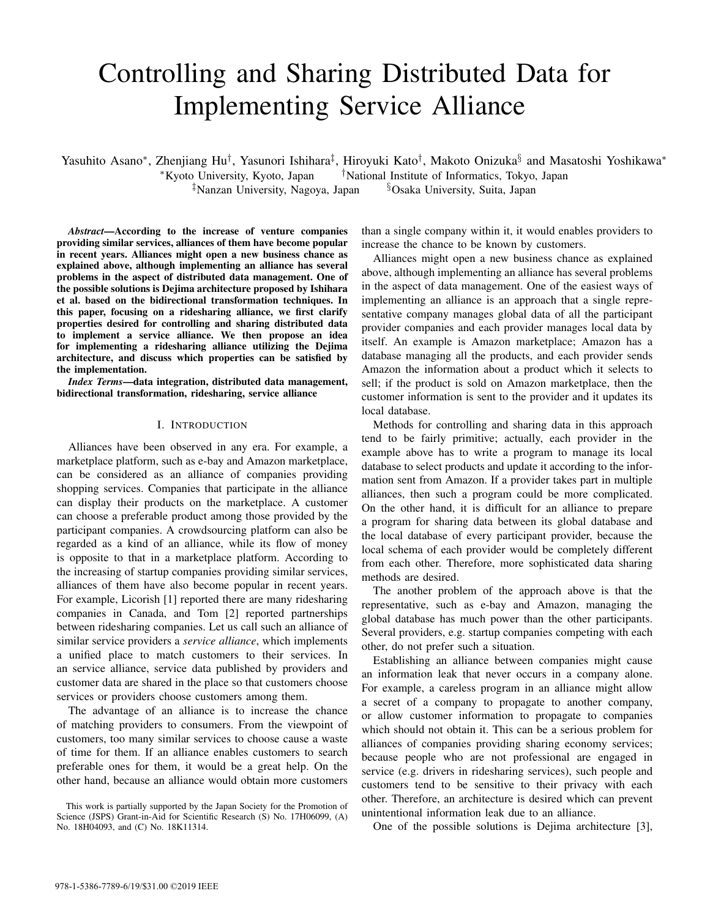# Controlling and Sharing Distributed Data for Implementing Service Alliance

Yasuhito Asano*∗* , Zhenjiang Hu*†* , Yasunori Ishihara*‡* , Hiroyuki Kato*†* , Makoto Onizuka*§* and Masatoshi Yoshikawa*∗ ∗*Kyoto University, Kyoto, Japan *†*National Institute of Informatics, Tokyo, Japan *‡*Nanzan University, Nagoya, Japan *§*Osaka University, Suita, Japan

*Abstract*—According to the increase of venture companies providing similar services, alliances of them have become popular in recent years. Alliances might open a new business chance as explained above, although implementing an alliance has several problems in the aspect of distributed data management. One of the possible solutions is Dejima architecture proposed by Ishihara et al. based on the bidirectional transformation techniques. In this paper, focusing on a ridesharing alliance, we first clarify properties desired for controlling and sharing distributed data to implement a service alliance. We then propose an idea for implementing a ridesharing alliance utilizing the Dejima architecture, and discuss which properties can be satisfied by the implementation.

*Index Terms*—data integration, distributed data management, bidirectional transformation, ridesharing, service alliance

## I. INTRODUCTION

Alliances have been observed in any era. For example, a marketplace platform, such as e-bay and Amazon marketplace, can be considered as an alliance of companies providing shopping services. Companies that participate in the alliance can display their products on the marketplace. A customer can choose a preferable product among those provided by the participant companies. A crowdsourcing platform can also be regarded as a kind of an alliance, while its flow of money is opposite to that in a marketplace platform. According to the increasing of startup companies providing similar services, alliances of them have also become popular in recent years. For example, Licorish [1] reported there are many ridesharing companies in Canada, and Tom [2] reported partnerships between ridesharing companies. Let us call such an alliance of similar service providers a *service alliance*, which implements a unified place to match customers to their services. In an service alliance, service data published by providers and customer data are shared in the place so that customers choose services or providers choose customers among them.

The advantage of an alliance is to increase the chance of matching providers to consumers. From the viewpoint of customers, too many similar services to choose cause a waste of time for them. If an alliance enables customers to search preferable ones for them, it would be a great help. On the other hand, because an alliance would obtain more customers than a single company within it, it would enables providers to increase the chance to be known by customers.

Alliances might open a new business chance as explained above, although implementing an alliance has several problems in the aspect of data management. One of the easiest ways of implementing an alliance is an approach that a single representative company manages global data of all the participant provider companies and each provider manages local data by itself. An example is Amazon marketplace; Amazon has a database managing all the products, and each provider sends Amazon the information about a product which it selects to sell; if the product is sold on Amazon marketplace, then the customer information is sent to the provider and it updates its local database.

Methods for controlling and sharing data in this approach tend to be fairly primitive; actually, each provider in the example above has to write a program to manage its local database to select products and update it according to the information sent from Amazon. If a provider takes part in multiple alliances, then such a program could be more complicated. On the other hand, it is difficult for an alliance to prepare a program for sharing data between its global database and the local database of every participant provider, because the local schema of each provider would be completely different from each other. Therefore, more sophisticated data sharing methods are desired.

The another problem of the approach above is that the representative, such as e-bay and Amazon, managing the global database has much power than the other participants. Several providers, e.g. startup companies competing with each other, do not prefer such a situation.

Establishing an alliance between companies might cause an information leak that never occurs in a company alone. For example, a careless program in an alliance might allow a secret of a company to propagate to another company, or allow customer information to propagate to companies which should not obtain it. This can be a serious problem for alliances of companies providing sharing economy services; because people who are not professional are engaged in service (e.g. drivers in ridesharing services), such people and customers tend to be sensitive to their privacy with each other. Therefore, an architecture is desired which can prevent unintentional information leak due to an alliance.

One of the possible solutions is Dejima architecture [3],

This work is partially supported by the Japan Society for the Promotion of Science (JSPS) Grant-in-Aid for Scientific Research (S) No. 17H06099, (A) No. 18H04093, and (C) No. 18K11314.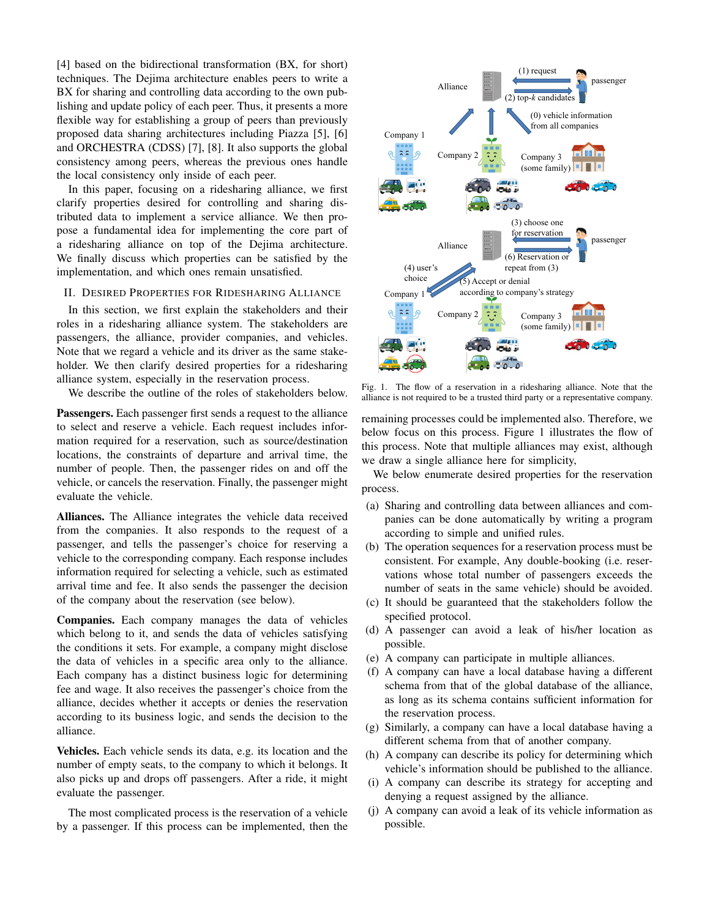[4] based on the bidirectional transformation (BX, for short) techniques. The Dejima architecture enables peers to write a BX for sharing and controlling data according to the own publishing and update policy of each peer. Thus, it presents a more flexible way for establishing a group of peers than previously proposed data sharing architectures including Piazza [5], [6] and ORCHESTRA (CDSS) [7], [8]. It also supports the global consistency among peers, whereas the previous ones handle the local consistency only inside of each peer.

In this paper, focusing on a ridesharing alliance, we first clarify properties desired for controlling and sharing distributed data to implement a service alliance. We then propose a fundamental idea for implementing the core part of a ridesharing alliance on top of the Dejima architecture. We finally discuss which properties can be satisfied by the implementation, and which ones remain unsatisfied.

## II. DESIRED PROPERTIES FOR RIDESHARING ALLIANCE

In this section, we first explain the stakeholders and their roles in a ridesharing alliance system. The stakeholders are passengers, the alliance, provider companies, and vehicles. Note that we regard a vehicle and its driver as the same stakeholder. We then clarify desired properties for a ridesharing alliance system, especially in the reservation process.

We describe the outline of the roles of stakeholders below.

Passengers. Each passenger first sends a request to the alliance to select and reserve a vehicle. Each request includes information required for a reservation, such as source/destination locations, the constraints of departure and arrival time, the number of people. Then, the passenger rides on and off the vehicle, or cancels the reservation. Finally, the passenger might evaluate the vehicle.

Alliances. The Alliance integrates the vehicle data received from the companies. It also responds to the request of a passenger, and tells the passenger's choice for reserving a vehicle to the corresponding company. Each response includes information required for selecting a vehicle, such as estimated arrival time and fee. It also sends the passenger the decision of the company about the reservation (see below).

Companies. Each company manages the data of vehicles which belong to it, and sends the data of vehicles satisfying the conditions it sets. For example, a company might disclose the data of vehicles in a specific area only to the alliance. Each company has a distinct business logic for determining fee and wage. It also receives the passenger's choice from the alliance, decides whether it accepts or denies the reservation according to its business logic, and sends the decision to the alliance.

Vehicles. Each vehicle sends its data, e.g. its location and the number of empty seats, to the company to which it belongs. It also picks up and drops off passengers. After a ride, it might evaluate the passenger.

The most complicated process is the reservation of a vehicle by a passenger. If this process can be implemented, then the



Fig. 1. The flow of a reservation in a ridesharing alliance. Note that the alliance is not required to be a trusted third party or a representative company.

remaining processes could be implemented also. Therefore, we below focus on this process. Figure 1 illustrates the flow of this process. Note that multiple alliances may exist, although we draw a single alliance here for simplicity,

We below enumerate desired properties for the reservation process.

- (a) Sharing and controlling data between alliances and companies can be done automatically by writing a program according to simple and unified rules.
- (b) The operation sequences for a reservation process must be consistent. For example, Any double-booking (i.e. reservations whose total number of passengers exceeds the number of seats in the same vehicle) should be avoided.
- (c) It should be guaranteed that the stakeholders follow the specified protocol.
- (d) A passenger can avoid a leak of his/her location as possible.
- (e) A company can participate in multiple alliances.
- (f) A company can have a local database having a different schema from that of the global database of the alliance, as long as its schema contains sufficient information for the reservation process.
- (g) Similarly, a company can have a local database having a different schema from that of another company.
- (h) A company can describe its policy for determining which vehicle's information should be published to the alliance.
- (i) A company can describe its strategy for accepting and denying a request assigned by the alliance.
- (j) A company can avoid a leak of its vehicle information as possible.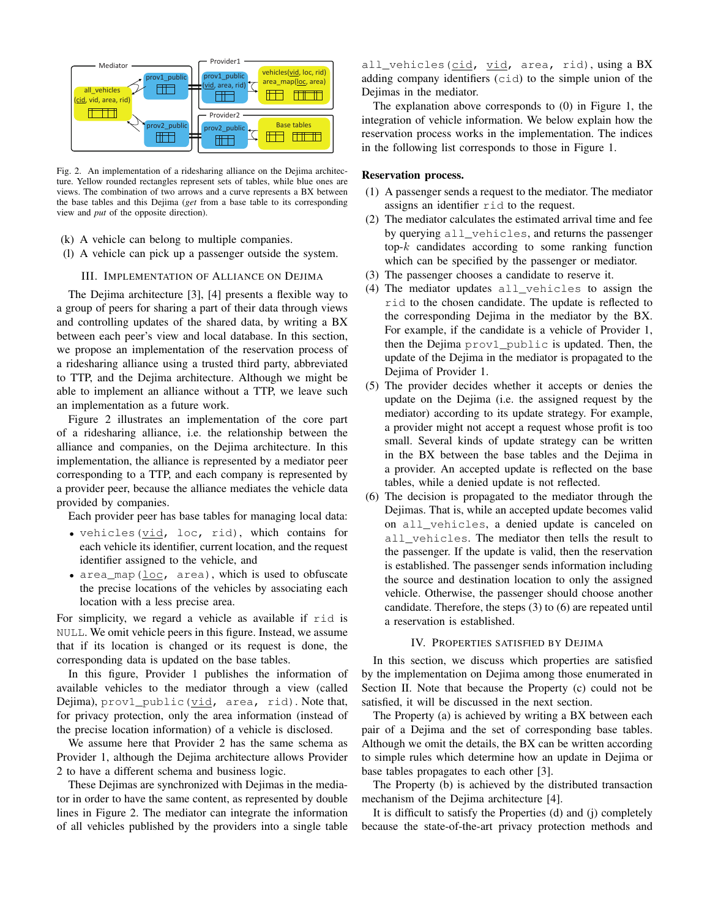

Fig. 2. An implementation of a ridesharing alliance on the Dejima architecture. Yellow rounded rectangles represent sets of tables, while blue ones are views. The combination of two arrows and a curve represents a BX between the base tables and this Dejima (*get* from a base table to its corresponding view and *put* of the opposite direction).

- (k) A vehicle can belong to multiple companies.
- (l) A vehicle can pick up a passenger outside the system.

## III. IMPLEMENTATION OF ALLIANCE ON DEJIMA

The Dejima architecture [3], [4] presents a flexible way to a group of peers for sharing a part of their data through views and controlling updates of the shared data, by writing a BX between each peer's view and local database. In this section, we propose an implementation of the reservation process of a ridesharing alliance using a trusted third party, abbreviated to TTP, and the Dejima architecture. Although we might be able to implement an alliance without a TTP, we leave such an implementation as a future work.

Figure 2 illustrates an implementation of the core part of a ridesharing alliance, i.e. the relationship between the alliance and companies, on the Dejima architecture. In this implementation, the alliance is represented by a mediator peer corresponding to a TTP, and each company is represented by a provider peer, because the alliance mediates the vehicle data provided by companies.

Each provider peer has base tables for managing local data:

- *•* vehicles(vid, loc, rid), which contains for each vehicle its identifier, current location, and the request identifier assigned to the vehicle, and
- area\_map(loc, area), which is used to obfuscate the precise locations of the vehicles by associating each location with a less precise area.

For simplicity, we regard a vehicle as available if rid is NULL. We omit vehicle peers in this figure. Instead, we assume that if its location is changed or its request is done, the corresponding data is updated on the base tables.

In this figure, Provider 1 publishes the information of available vehicles to the mediator through a view (called Dejima), prov1\_public(vid, area, rid). Note that, for privacy protection, only the area information (instead of the precise location information) of a vehicle is disclosed.

We assume here that Provider 2 has the same schema as Provider 1, although the Dejima architecture allows Provider 2 to have a different schema and business logic.

These Dejimas are synchronized with Dejimas in the mediator in order to have the same content, as represented by double lines in Figure 2. The mediator can integrate the information of all vehicles published by the providers into a single table all\_vehicles(cid, vid, area, rid), using a BX adding company identifiers (cid) to the simple union of the Dejimas in the mediator.

The explanation above corresponds to (0) in Figure 1, the integration of vehicle information. We below explain how the reservation process works in the implementation. The indices in the following list corresponds to those in Figure 1.

## Reservation process.

- (1) A passenger sends a request to the mediator. The mediator assigns an identifier rid to the request.
- (2) The mediator calculates the estimated arrival time and fee by querying all\_vehicles, and returns the passenger top-*k* candidates according to some ranking function which can be specified by the passenger or mediator.
- (3) The passenger chooses a candidate to reserve it.
- (4) The mediator updates all\_vehicles to assign the rid to the chosen candidate. The update is reflected to the corresponding Dejima in the mediator by the BX. For example, if the candidate is a vehicle of Provider 1, then the Dejima prov1\_public is updated. Then, the update of the Dejima in the mediator is propagated to the Dejima of Provider 1.
- (5) The provider decides whether it accepts or denies the update on the Dejima (i.e. the assigned request by the mediator) according to its update strategy. For example, a provider might not accept a request whose profit is too small. Several kinds of update strategy can be written in the BX between the base tables and the Dejima in a provider. An accepted update is reflected on the base tables, while a denied update is not reflected.
- (6) The decision is propagated to the mediator through the Dejimas. That is, while an accepted update becomes valid on all\_vehicles, a denied update is canceled on all vehicles. The mediator then tells the result to the passenger. If the update is valid, then the reservation is established. The passenger sends information including the source and destination location to only the assigned vehicle. Otherwise, the passenger should choose another candidate. Therefore, the steps (3) to (6) are repeated until a reservation is established.

## IV. PROPERTIES SATISFIED BY DEJIMA

In this section, we discuss which properties are satisfied by the implementation on Dejima among those enumerated in Section II. Note that because the Property (c) could not be satisfied, it will be discussed in the next section.

The Property (a) is achieved by writing a BX between each pair of a Dejima and the set of corresponding base tables. Although we omit the details, the BX can be written according to simple rules which determine how an update in Dejima or base tables propagates to each other [3].

The Property (b) is achieved by the distributed transaction mechanism of the Dejima architecture [4].

It is difficult to satisfy the Properties (d) and (j) completely because the state-of-the-art privacy protection methods and